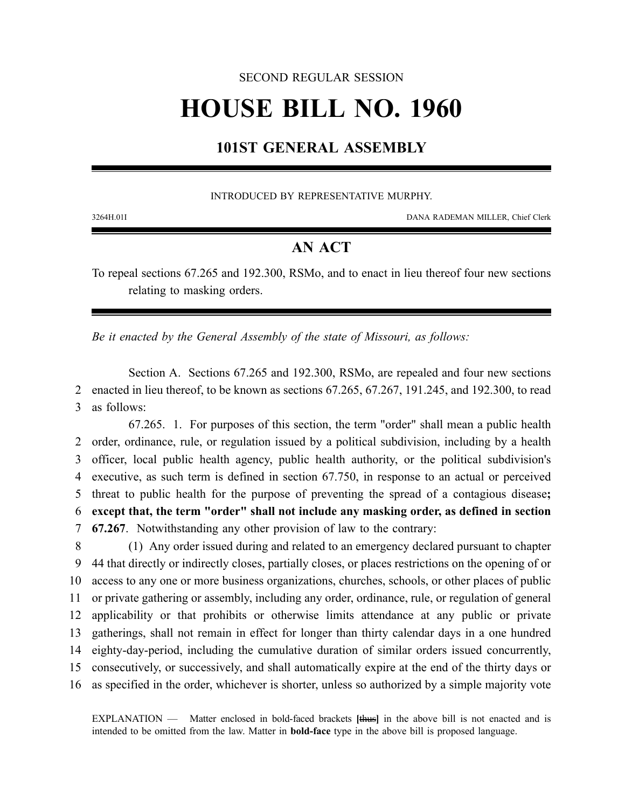## SECOND REGULAR SESSION

# **HOUSE BILL NO. 1960**

## **101ST GENERAL ASSEMBLY**

## INTRODUCED BY REPRESENTATIVE MURPHY.

3264H.01I DANA RADEMAN MILLER, Chief Clerk

## **AN ACT**

To repeal sections 67.265 and 192.300, RSMo, and to enact in lieu thereof four new sections relating to masking orders.

*Be it enacted by the General Assembly of the state of Missouri, as follows:*

Section A. Sections 67.265 and 192.300, RSMo, are repealed and four new sections 2 enacted in lieu thereof, to be known as sections 67.265, 67.267, 191.245, and 192.300, to read 3 as follows:

67.265. 1. For purposes of this section, the term "order" shall mean a public health order, ordinance, rule, or regulation issued by a political subdivision, including by a health officer, local public health agency, public health authority, or the political subdivision's executive, as such term is defined in section 67.750, in response to an actual or perceived threat to public health for the purpose of preventing the spread of a contagious disease**; except that, the term "order" shall not include any masking order, as defined in section 67.267**. Notwithstanding any other provision of law to the contrary:

 (1) Any order issued during and related to an emergency declared pursuant to chapter 44 that directly or indirectly closes, partially closes, or places restrictions on the opening of or access to any one or more business organizations, churches, schools, or other places of public or private gathering or assembly, including any order, ordinance, rule, or regulation of general applicability or that prohibits or otherwise limits attendance at any public or private gatherings, shall not remain in effect for longer than thirty calendar days in a one hundred eighty-day-period, including the cumulative duration of similar orders issued concurrently, consecutively, or successively, and shall automatically expire at the end of the thirty days or as specified in the order, whichever is shorter, unless so authorized by a simple majority vote

EXPLANATION — Matter enclosed in bold-faced brackets **[**thus**]** in the above bill is not enacted and is intended to be omitted from the law. Matter in **bold-face** type in the above bill is proposed language.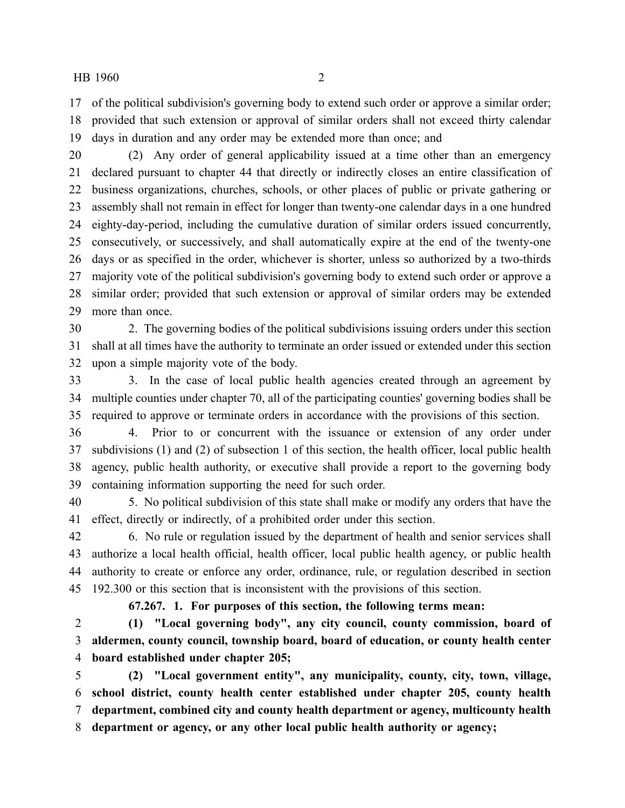of the political subdivision's governing body to extend such order or approve a similar order; provided that such extension or approval of similar orders shall not exceed thirty calendar days in duration and any order may be extended more than once; and

 (2) Any order of general applicability issued at a time other than an emergency declared pursuant to chapter 44 that directly or indirectly closes an entire classification of business organizations, churches, schools, or other places of public or private gathering or assembly shall not remain in effect for longer than twenty-one calendar days in a one hundred eighty-day-period, including the cumulative duration of similar orders issued concurrently, consecutively, or successively, and shall automatically expire at the end of the twenty-one days or as specified in the order, whichever is shorter, unless so authorized by a two-thirds majority vote of the political subdivision's governing body to extend such order or approve a similar order; provided that such extension or approval of similar orders may be extended more than once.

 2. The governing bodies of the political subdivisions issuing orders under this section shall at all times have the authority to terminate an order issued or extended under this section upon a simple majority vote of the body.

 3. In the case of local public health agencies created through an agreement by multiple counties under chapter 70, all of the participating counties' governing bodies shall be required to approve or terminate orders in accordance with the provisions of this section.

 4. Prior to or concurrent with the issuance or extension of any order under subdivisions (1) and (2) of subsection 1 of this section, the health officer, local public health agency, public health authority, or executive shall provide a report to the governing body containing information supporting the need for such order.

 5. No political subdivision of this state shall make or modify any orders that have the effect, directly or indirectly, of a prohibited order under this section.

 6. No rule or regulation issued by the department of health and senior services shall authorize a local health official, health officer, local public health agency, or public health authority to create or enforce any order, ordinance, rule, or regulation described in section 192.300 or this section that is inconsistent with the provisions of this section.

**67.267. 1. For purposes of this section, the following terms mean:**

 **(1) "Local governing body", any city council, county commission, board of aldermen, county council, township board, board of education, or county health center board established under chapter 205;**

 **(2) "Local government entity", any municipality, county, city, town, village, school district, county health center established under chapter 205, county health department, combined city and county health department or agency, multicounty health department or agency, or any other local public health authority or agency;**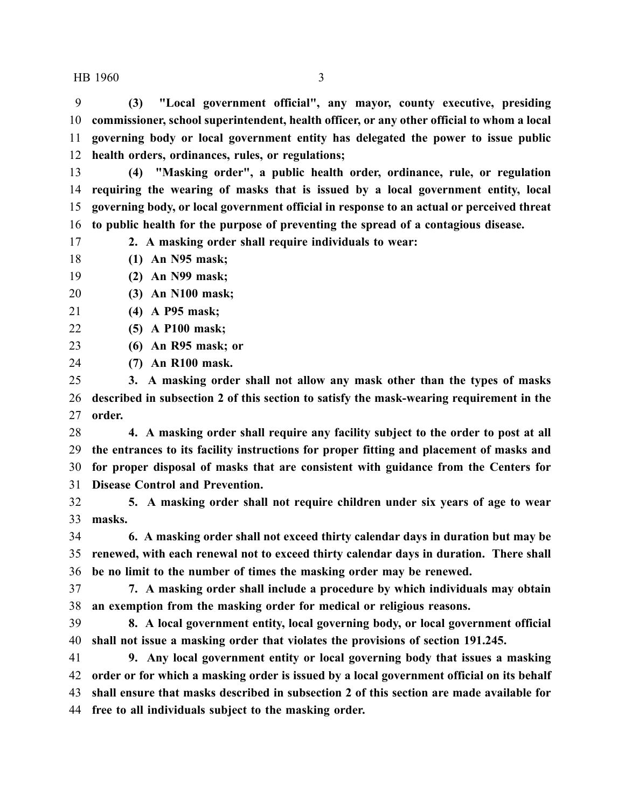**(3) "Local government official", any mayor, county executive, presiding commissioner, school superintendent, health officer, or any other official to whom a local governing body or local government entity has delegated the power to issue public health orders, ordinances, rules, or regulations;**

 **(4) "Masking order", a public health order, ordinance, rule, or regulation requiring the wearing of masks that is issued by a local government entity, local governing body, or local government official in response to an actual or perceived threat to public health for the purpose of preventing the spread of a contagious disease.**

**2. A masking order shall require individuals to wear:**

- **(1) An N95 mask;**
- **(2) An N99 mask;**
- **(3) An N100 mask;**
- **(4) A P95 mask;**
- **(5) A P100 mask;**
- **(6) An R95 mask; or**
- **(7) An R100 mask.**

 **3. A masking order shall not allow any mask other than the types of masks described in subsection 2 of this section to satisfy the mask-wearing requirement in the order.**

 **4. A masking order shall require any facility subject to the order to post at all the entrances to its facility instructions for proper fitting and placement of masks and for proper disposal of masks that are consistent with guidance from the Centers for Disease Control and Prevention.**

 **5. A masking order shall not require children under six years of age to wear masks.**

 **6. A masking order shall not exceed thirty calendar days in duration but may be renewed, with each renewal not to exceed thirty calendar days in duration. There shall be no limit to the number of times the masking order may be renewed.**

 **7. A masking order shall include a procedure by which individuals may obtain an exemption from the masking order for medical or religious reasons.**

 **8. A local government entity, local governing body, or local government official shall not issue a masking order that violates the provisions of section 191.245.**

 **9. Any local government entity or local governing body that issues a masking order or for which a masking order is issued by a local government official on its behalf shall ensure that masks described in subsection 2 of this section are made available for free to all individuals subject to the masking order.**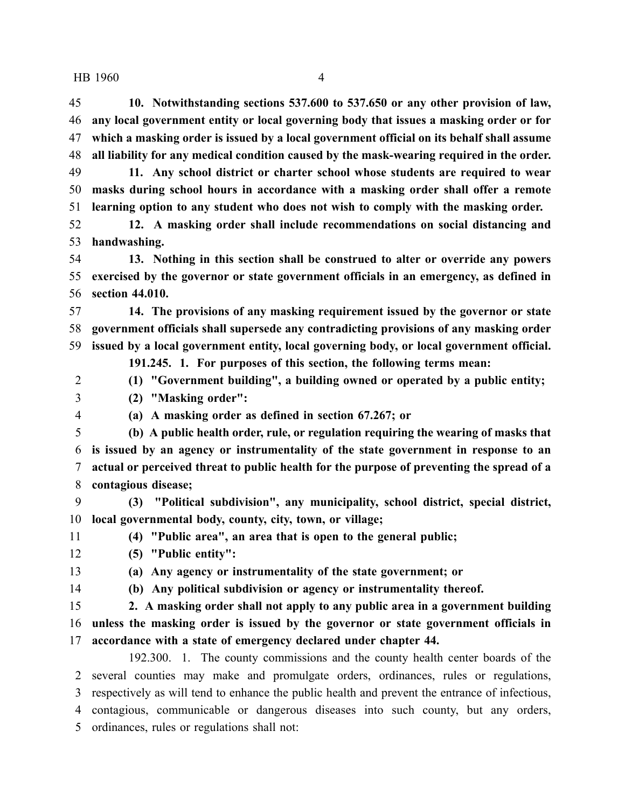**10. Notwithstanding sections 537.600 to 537.650 or any other provision of law, any local government entity or local governing body that issues a masking order or for which a masking order is issued by a local government official on its behalf shall assume all liability for any medical condition caused by the mask-wearing required in the order. 11. Any school district or charter school whose students are required to wear**

 **masks during school hours in accordance with a masking order shall offer a remote learning option to any student who does not wish to comply with the masking order.**

 **12. A masking order shall include recommendations on social distancing and handwashing.**

 **13. Nothing in this section shall be construed to alter or override any powers exercised by the governor or state government officials in an emergency, as defined in section 44.010.**

 **14. The provisions of any masking requirement issued by the governor or state government officials shall supersede any contradicting provisions of any masking order issued by a local government entity, local governing body, or local government official.**

**191.245. 1. For purposes of this section, the following terms mean:**

**(1) "Government building", a building owned or operated by a public entity;**

**(2) "Masking order":**

**(a) A masking order as defined in section 67.267; or**

 **(b) A public health order, rule, or regulation requiring the wearing of masks that is issued by an agency or instrumentality of the state government in response to an actual or perceived threat to public health for the purpose of preventing the spread of a contagious disease;**

 **(3) "Political subdivision", any municipality, school district, special district, local governmental body, county, city, town, or village;**

**(4) "Public area", an area that is open to the general public;**

**(5) "Public entity":**

**(a) Any agency or instrumentality of the state government; or**

**(b) Any political subdivision or agency or instrumentality thereof.**

**2. A masking order shall not apply to any public area in a government building**

 **unless the masking order is issued by the governor or state government officials in accordance with a state of emergency declared under chapter 44.**

192.300. 1. The county commissions and the county health center boards of the several counties may make and promulgate orders, ordinances, rules or regulations, respectively as will tend to enhance the public health and prevent the entrance of infectious, contagious, communicable or dangerous diseases into such county, but any orders, ordinances, rules or regulations shall not: